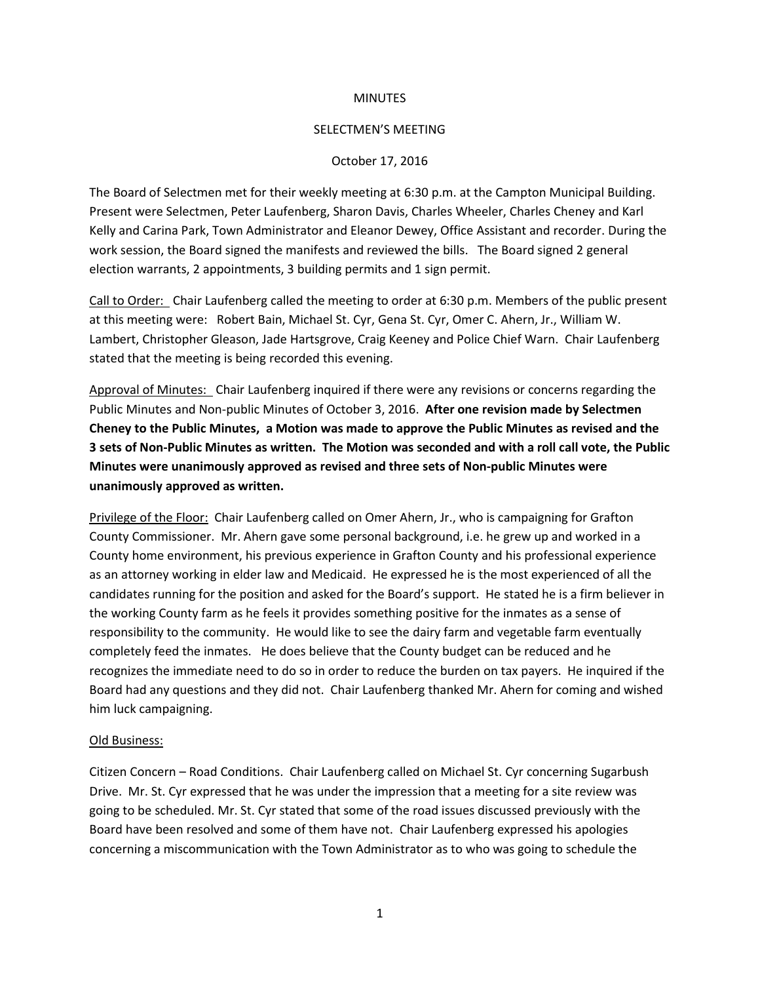## **MINUTES**

### SELECTMEN'S MEETING

## October 17, 2016

The Board of Selectmen met for their weekly meeting at 6:30 p.m. at the Campton Municipal Building. Present were Selectmen, Peter Laufenberg, Sharon Davis, Charles Wheeler, Charles Cheney and Karl Kelly and Carina Park, Town Administrator and Eleanor Dewey, Office Assistant and recorder. During the work session, the Board signed the manifests and reviewed the bills. The Board signed 2 general election warrants, 2 appointments, 3 building permits and 1 sign permit.

Call to Order: Chair Laufenberg called the meeting to order at 6:30 p.m. Members of the public present at this meeting were: Robert Bain, Michael St. Cyr, Gena St. Cyr, Omer C. Ahern, Jr., William W. Lambert, Christopher Gleason, Jade Hartsgrove, Craig Keeney and Police Chief Warn. Chair Laufenberg stated that the meeting is being recorded this evening.

Approval of Minutes: Chair Laufenberg inquired if there were any revisions or concerns regarding the Public Minutes and Non-public Minutes of October 3, 2016. **After one revision made by Selectmen Cheney to the Public Minutes, a Motion was made to approve the Public Minutes as revised and the 3 sets of Non-Public Minutes as written. The Motion was seconded and with a roll call vote, the Public Minutes were unanimously approved as revised and three sets of Non-public Minutes were unanimously approved as written.**

Privilege of the Floor: Chair Laufenberg called on Omer Ahern, Jr., who is campaigning for Grafton County Commissioner. Mr. Ahern gave some personal background, i.e. he grew up and worked in a County home environment, his previous experience in Grafton County and his professional experience as an attorney working in elder law and Medicaid. He expressed he is the most experienced of all the candidates running for the position and asked for the Board's support. He stated he is a firm believer in the working County farm as he feels it provides something positive for the inmates as a sense of responsibility to the community. He would like to see the dairy farm and vegetable farm eventually completely feed the inmates. He does believe that the County budget can be reduced and he recognizes the immediate need to do so in order to reduce the burden on tax payers. He inquired if the Board had any questions and they did not. Chair Laufenberg thanked Mr. Ahern for coming and wished him luck campaigning.

#### Old Business:

Citizen Concern – Road Conditions. Chair Laufenberg called on Michael St. Cyr concerning Sugarbush Drive. Mr. St. Cyr expressed that he was under the impression that a meeting for a site review was going to be scheduled. Mr. St. Cyr stated that some of the road issues discussed previously with the Board have been resolved and some of them have not. Chair Laufenberg expressed his apologies concerning a miscommunication with the Town Administrator as to who was going to schedule the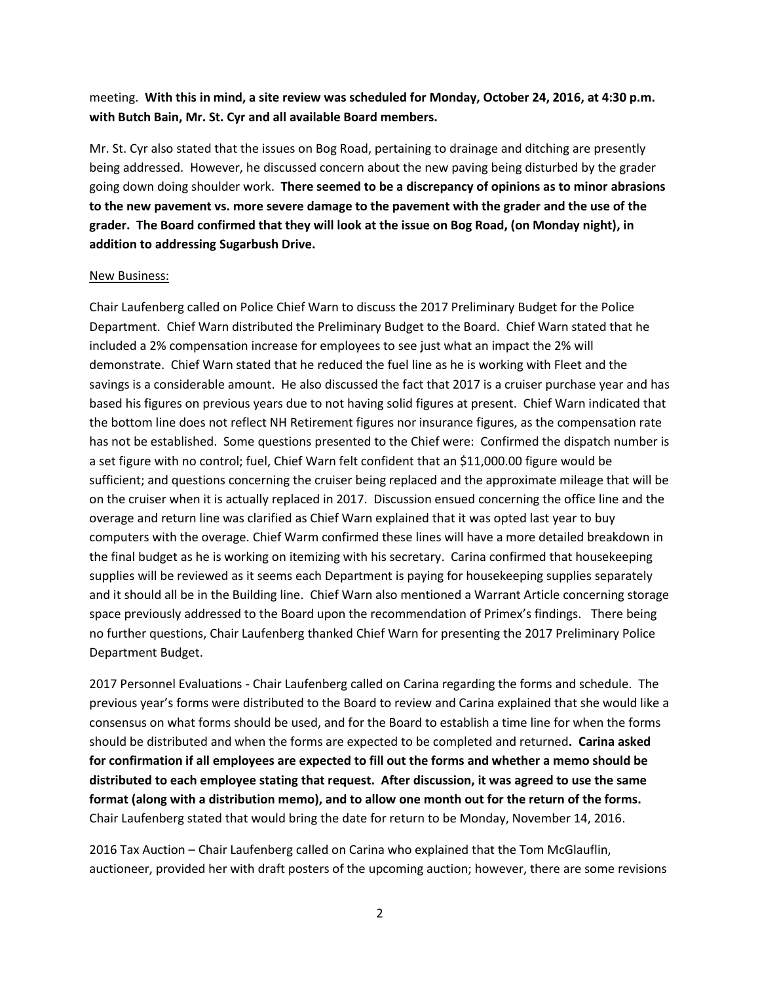meeting. **With this in mind, a site review was scheduled for Monday, October 24, 2016, at 4:30 p.m. with Butch Bain, Mr. St. Cyr and all available Board members.** 

Mr. St. Cyr also stated that the issues on Bog Road, pertaining to drainage and ditching are presently being addressed. However, he discussed concern about the new paving being disturbed by the grader going down doing shoulder work. **There seemed to be a discrepancy of opinions as to minor abrasions to the new pavement vs. more severe damage to the pavement with the grader and the use of the grader. The Board confirmed that they will look at the issue on Bog Road, (on Monday night), in addition to addressing Sugarbush Drive.** 

## New Business:

Chair Laufenberg called on Police Chief Warn to discuss the 2017 Preliminary Budget for the Police Department. Chief Warn distributed the Preliminary Budget to the Board. Chief Warn stated that he included a 2% compensation increase for employees to see just what an impact the 2% will demonstrate. Chief Warn stated that he reduced the fuel line as he is working with Fleet and the savings is a considerable amount. He also discussed the fact that 2017 is a cruiser purchase year and has based his figures on previous years due to not having solid figures at present. Chief Warn indicated that the bottom line does not reflect NH Retirement figures nor insurance figures, as the compensation rate has not be established. Some questions presented to the Chief were: Confirmed the dispatch number is a set figure with no control; fuel, Chief Warn felt confident that an \$11,000.00 figure would be sufficient; and questions concerning the cruiser being replaced and the approximate mileage that will be on the cruiser when it is actually replaced in 2017. Discussion ensued concerning the office line and the overage and return line was clarified as Chief Warn explained that it was opted last year to buy computers with the overage. Chief Warm confirmed these lines will have a more detailed breakdown in the final budget as he is working on itemizing with his secretary. Carina confirmed that housekeeping supplies will be reviewed as it seems each Department is paying for housekeeping supplies separately and it should all be in the Building line. Chief Warn also mentioned a Warrant Article concerning storage space previously addressed to the Board upon the recommendation of Primex's findings. There being no further questions, Chair Laufenberg thanked Chief Warn for presenting the 2017 Preliminary Police Department Budget.

2017 Personnel Evaluations - Chair Laufenberg called on Carina regarding the forms and schedule. The previous year's forms were distributed to the Board to review and Carina explained that she would like a consensus on what forms should be used, and for the Board to establish a time line for when the forms should be distributed and when the forms are expected to be completed and returned**. Carina asked for confirmation if all employees are expected to fill out the forms and whether a memo should be distributed to each employee stating that request. After discussion, it was agreed to use the same format (along with a distribution memo), and to allow one month out for the return of the forms.** Chair Laufenberg stated that would bring the date for return to be Monday, November 14, 2016.

2016 Tax Auction – Chair Laufenberg called on Carina who explained that the Tom McGlauflin, auctioneer, provided her with draft posters of the upcoming auction; however, there are some revisions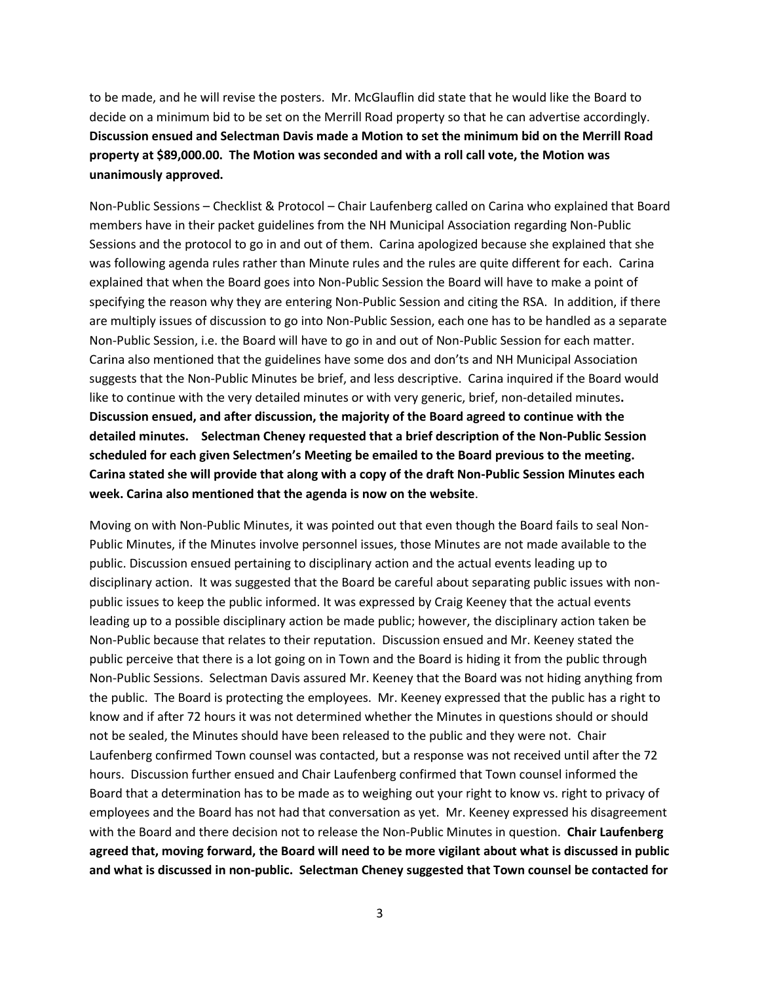to be made, and he will revise the posters. Mr. McGlauflin did state that he would like the Board to decide on a minimum bid to be set on the Merrill Road property so that he can advertise accordingly. **Discussion ensued and Selectman Davis made a Motion to set the minimum bid on the Merrill Road property at \$89,000.00. The Motion was seconded and with a roll call vote, the Motion was unanimously approved.** 

Non-Public Sessions – Checklist & Protocol – Chair Laufenberg called on Carina who explained that Board members have in their packet guidelines from the NH Municipal Association regarding Non-Public Sessions and the protocol to go in and out of them. Carina apologized because she explained that she was following agenda rules rather than Minute rules and the rules are quite different for each. Carina explained that when the Board goes into Non-Public Session the Board will have to make a point of specifying the reason why they are entering Non-Public Session and citing the RSA. In addition, if there are multiply issues of discussion to go into Non-Public Session, each one has to be handled as a separate Non-Public Session, i.e. the Board will have to go in and out of Non-Public Session for each matter. Carina also mentioned that the guidelines have some dos and don'ts and NH Municipal Association suggests that the Non-Public Minutes be brief, and less descriptive. Carina inquired if the Board would like to continue with the very detailed minutes or with very generic, brief, non-detailed minutes**. Discussion ensued, and after discussion, the majority of the Board agreed to continue with the detailed minutes. Selectman Cheney requested that a brief description of the Non-Public Session scheduled for each given Selectmen's Meeting be emailed to the Board previous to the meeting. Carina stated she will provide that along with a copy of the draft Non-Public Session Minutes each week. Carina also mentioned that the agenda is now on the website**.

Moving on with Non-Public Minutes, it was pointed out that even though the Board fails to seal Non-Public Minutes, if the Minutes involve personnel issues, those Minutes are not made available to the public. Discussion ensued pertaining to disciplinary action and the actual events leading up to disciplinary action. It was suggested that the Board be careful about separating public issues with nonpublic issues to keep the public informed. It was expressed by Craig Keeney that the actual events leading up to a possible disciplinary action be made public; however, the disciplinary action taken be Non-Public because that relates to their reputation. Discussion ensued and Mr. Keeney stated the public perceive that there is a lot going on in Town and the Board is hiding it from the public through Non-Public Sessions. Selectman Davis assured Mr. Keeney that the Board was not hiding anything from the public. The Board is protecting the employees. Mr. Keeney expressed that the public has a right to know and if after 72 hours it was not determined whether the Minutes in questions should or should not be sealed, the Minutes should have been released to the public and they were not. Chair Laufenberg confirmed Town counsel was contacted, but a response was not received until after the 72 hours. Discussion further ensued and Chair Laufenberg confirmed that Town counsel informed the Board that a determination has to be made as to weighing out your right to know vs. right to privacy of employees and the Board has not had that conversation as yet. Mr. Keeney expressed his disagreement with the Board and there decision not to release the Non-Public Minutes in question. **Chair Laufenberg agreed that, moving forward, the Board will need to be more vigilant about what is discussed in public and what is discussed in non-public. Selectman Cheney suggested that Town counsel be contacted for**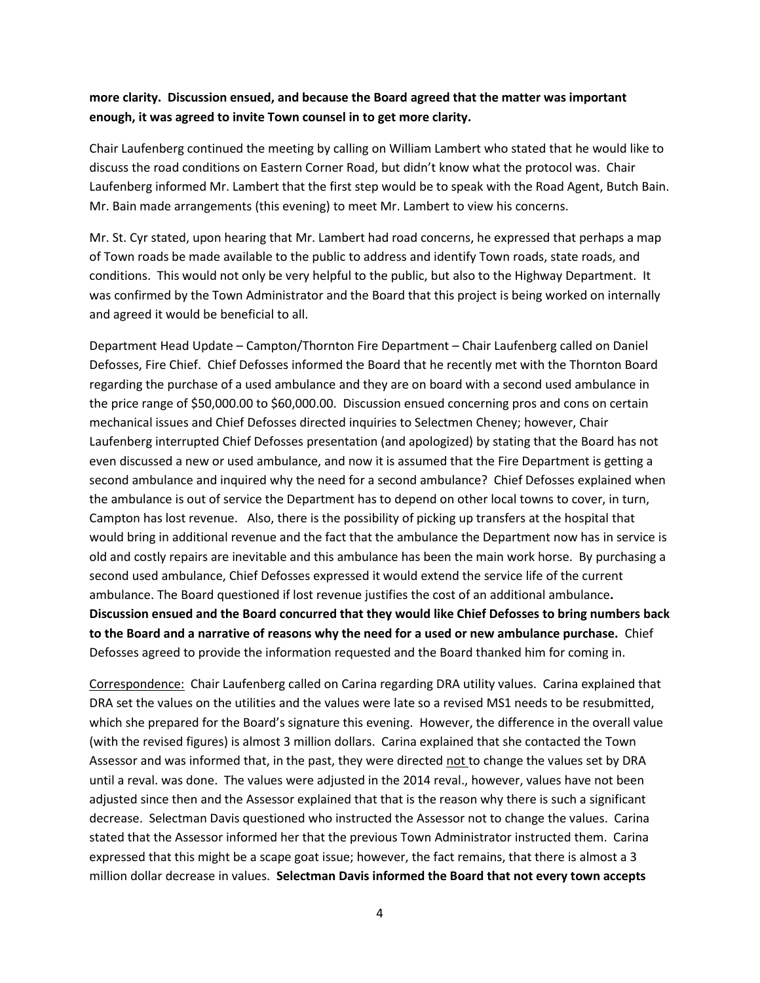# **more clarity. Discussion ensued, and because the Board agreed that the matter was important enough, it was agreed to invite Town counsel in to get more clarity.**

Chair Laufenberg continued the meeting by calling on William Lambert who stated that he would like to discuss the road conditions on Eastern Corner Road, but didn't know what the protocol was. Chair Laufenberg informed Mr. Lambert that the first step would be to speak with the Road Agent, Butch Bain. Mr. Bain made arrangements (this evening) to meet Mr. Lambert to view his concerns.

Mr. St. Cyr stated, upon hearing that Mr. Lambert had road concerns, he expressed that perhaps a map of Town roads be made available to the public to address and identify Town roads, state roads, and conditions. This would not only be very helpful to the public, but also to the Highway Department. It was confirmed by the Town Administrator and the Board that this project is being worked on internally and agreed it would be beneficial to all.

Department Head Update – Campton/Thornton Fire Department – Chair Laufenberg called on Daniel Defosses, Fire Chief. Chief Defosses informed the Board that he recently met with the Thornton Board regarding the purchase of a used ambulance and they are on board with a second used ambulance in the price range of \$50,000.00 to \$60,000.00. Discussion ensued concerning pros and cons on certain mechanical issues and Chief Defosses directed inquiries to Selectmen Cheney; however, Chair Laufenberg interrupted Chief Defosses presentation (and apologized) by stating that the Board has not even discussed a new or used ambulance, and now it is assumed that the Fire Department is getting a second ambulance and inquired why the need for a second ambulance? Chief Defosses explained when the ambulance is out of service the Department has to depend on other local towns to cover, in turn, Campton has lost revenue. Also, there is the possibility of picking up transfers at the hospital that would bring in additional revenue and the fact that the ambulance the Department now has in service is old and costly repairs are inevitable and this ambulance has been the main work horse. By purchasing a second used ambulance, Chief Defosses expressed it would extend the service life of the current ambulance. The Board questioned if lost revenue justifies the cost of an additional ambulance**. Discussion ensued and the Board concurred that they would like Chief Defosses to bring numbers back to the Board and a narrative of reasons why the need for a used or new ambulance purchase.** Chief Defosses agreed to provide the information requested and the Board thanked him for coming in.

Correspondence: Chair Laufenberg called on Carina regarding DRA utility values. Carina explained that DRA set the values on the utilities and the values were late so a revised MS1 needs to be resubmitted, which she prepared for the Board's signature this evening. However, the difference in the overall value (with the revised figures) is almost 3 million dollars. Carina explained that she contacted the Town Assessor and was informed that, in the past, they were directed not to change the values set by DRA until a reval. was done. The values were adjusted in the 2014 reval., however, values have not been adjusted since then and the Assessor explained that that is the reason why there is such a significant decrease. Selectman Davis questioned who instructed the Assessor not to change the values. Carina stated that the Assessor informed her that the previous Town Administrator instructed them. Carina expressed that this might be a scape goat issue; however, the fact remains, that there is almost a 3 million dollar decrease in values. **Selectman Davis informed the Board that not every town accepts**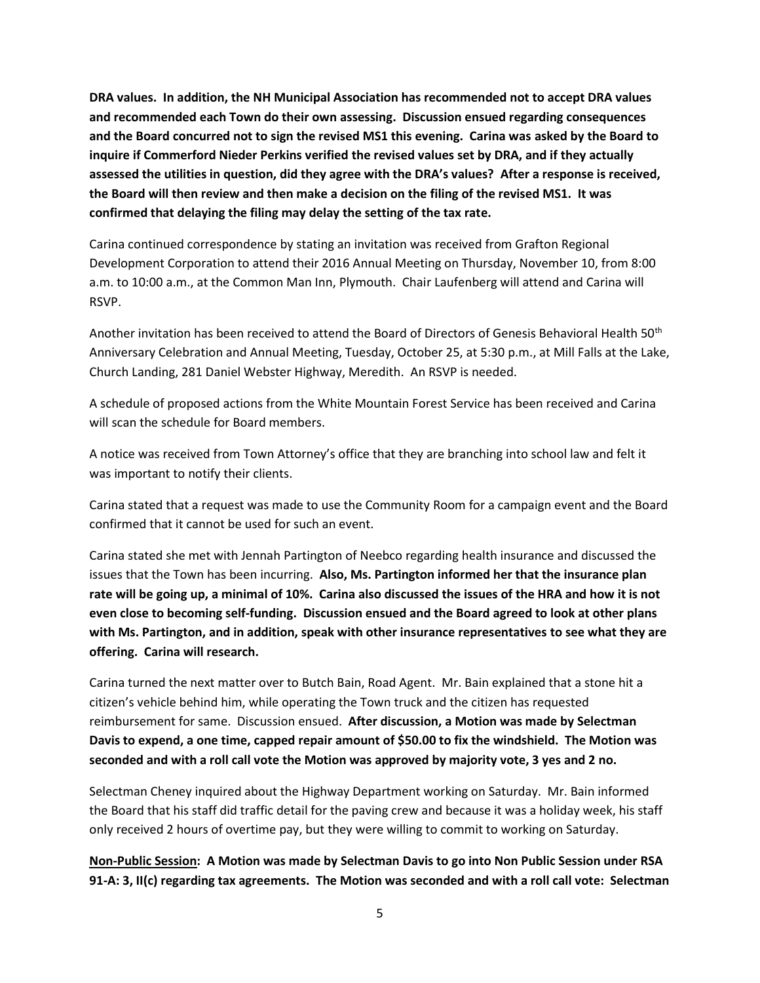**DRA values. In addition, the NH Municipal Association has recommended not to accept DRA values and recommended each Town do their own assessing. Discussion ensued regarding consequences and the Board concurred not to sign the revised MS1 this evening. Carina was asked by the Board to inquire if Commerford Nieder Perkins verified the revised values set by DRA, and if they actually assessed the utilities in question, did they agree with the DRA's values? After a response is received, the Board will then review and then make a decision on the filing of the revised MS1. It was confirmed that delaying the filing may delay the setting of the tax rate.** 

Carina continued correspondence by stating an invitation was received from Grafton Regional Development Corporation to attend their 2016 Annual Meeting on Thursday, November 10, from 8:00 a.m. to 10:00 a.m., at the Common Man Inn, Plymouth. Chair Laufenberg will attend and Carina will RSVP.

Another invitation has been received to attend the Board of Directors of Genesis Behavioral Health 50th Anniversary Celebration and Annual Meeting, Tuesday, October 25, at 5:30 p.m., at Mill Falls at the Lake, Church Landing, 281 Daniel Webster Highway, Meredith. An RSVP is needed.

A schedule of proposed actions from the White Mountain Forest Service has been received and Carina will scan the schedule for Board members.

A notice was received from Town Attorney's office that they are branching into school law and felt it was important to notify their clients.

Carina stated that a request was made to use the Community Room for a campaign event and the Board confirmed that it cannot be used for such an event.

Carina stated she met with Jennah Partington of Neebco regarding health insurance and discussed the issues that the Town has been incurring. **Also, Ms. Partington informed her that the insurance plan rate will be going up, a minimal of 10%. Carina also discussed the issues of the HRA and how it is not even close to becoming self-funding. Discussion ensued and the Board agreed to look at other plans with Ms. Partington, and in addition, speak with other insurance representatives to see what they are offering. Carina will research.**

Carina turned the next matter over to Butch Bain, Road Agent. Mr. Bain explained that a stone hit a citizen's vehicle behind him, while operating the Town truck and the citizen has requested reimbursement for same. Discussion ensued. **After discussion, a Motion was made by Selectman Davis to expend, a one time, capped repair amount of \$50.00 to fix the windshield. The Motion was seconded and with a roll call vote the Motion was approved by majority vote, 3 yes and 2 no.**

Selectman Cheney inquired about the Highway Department working on Saturday. Mr. Bain informed the Board that his staff did traffic detail for the paving crew and because it was a holiday week, his staff only received 2 hours of overtime pay, but they were willing to commit to working on Saturday.

**Non-Public Session: A Motion was made by Selectman Davis to go into Non Public Session under RSA 91-A: 3, II(c) regarding tax agreements. The Motion was seconded and with a roll call vote: Selectman**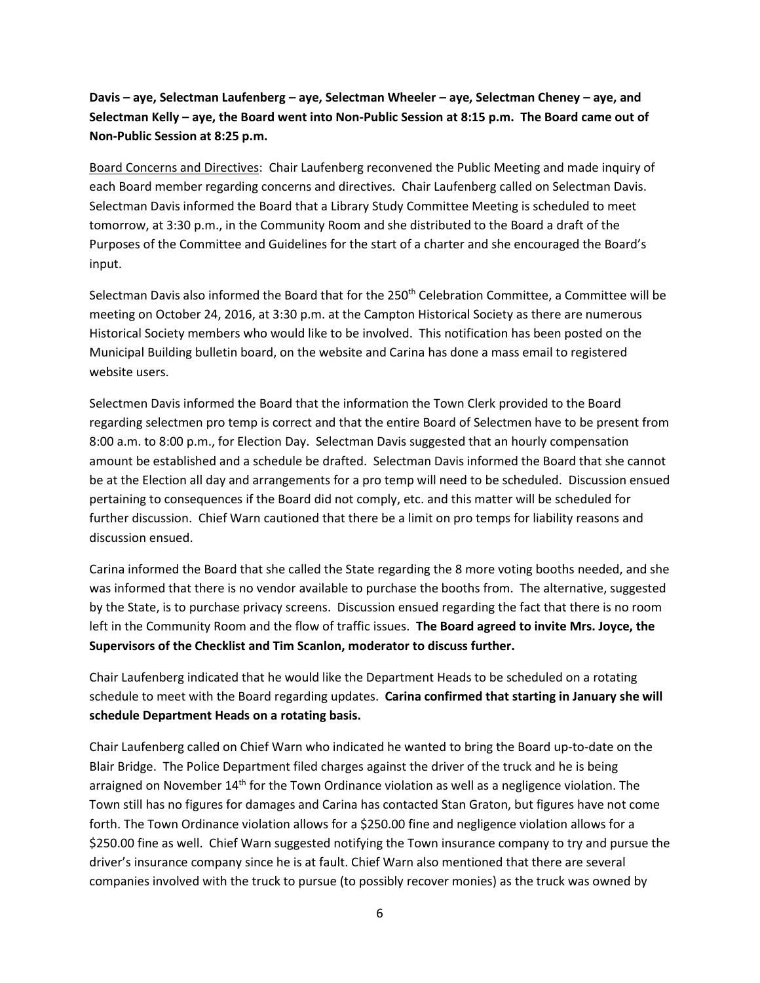**Davis – aye, Selectman Laufenberg – aye, Selectman Wheeler – aye, Selectman Cheney – aye, and Selectman Kelly – aye, the Board went into Non-Public Session at 8:15 p.m. The Board came out of Non-Public Session at 8:25 p.m.**

Board Concerns and Directives: Chair Laufenberg reconvened the Public Meeting and made inquiry of each Board member regarding concerns and directives. Chair Laufenberg called on Selectman Davis. Selectman Davis informed the Board that a Library Study Committee Meeting is scheduled to meet tomorrow, at 3:30 p.m., in the Community Room and she distributed to the Board a draft of the Purposes of the Committee and Guidelines for the start of a charter and she encouraged the Board's input.

Selectman Davis also informed the Board that for the 250<sup>th</sup> Celebration Committee, a Committee will be meeting on October 24, 2016, at 3:30 p.m. at the Campton Historical Society as there are numerous Historical Society members who would like to be involved. This notification has been posted on the Municipal Building bulletin board, on the website and Carina has done a mass email to registered website users.

Selectmen Davis informed the Board that the information the Town Clerk provided to the Board regarding selectmen pro temp is correct and that the entire Board of Selectmen have to be present from 8:00 a.m. to 8:00 p.m., for Election Day. Selectman Davis suggested that an hourly compensation amount be established and a schedule be drafted. Selectman Davis informed the Board that she cannot be at the Election all day and arrangements for a pro temp will need to be scheduled. Discussion ensued pertaining to consequences if the Board did not comply, etc. and this matter will be scheduled for further discussion. Chief Warn cautioned that there be a limit on pro temps for liability reasons and discussion ensued.

Carina informed the Board that she called the State regarding the 8 more voting booths needed, and she was informed that there is no vendor available to purchase the booths from. The alternative, suggested by the State, is to purchase privacy screens. Discussion ensued regarding the fact that there is no room left in the Community Room and the flow of traffic issues. **The Board agreed to invite Mrs. Joyce, the Supervisors of the Checklist and Tim Scanlon, moderator to discuss further.**

Chair Laufenberg indicated that he would like the Department Heads to be scheduled on a rotating schedule to meet with the Board regarding updates. **Carina confirmed that starting in January she will schedule Department Heads on a rotating basis.** 

Chair Laufenberg called on Chief Warn who indicated he wanted to bring the Board up-to-date on the Blair Bridge. The Police Department filed charges against the driver of the truck and he is being arraigned on November 14<sup>th</sup> for the Town Ordinance violation as well as a negligence violation. The Town still has no figures for damages and Carina has contacted Stan Graton, but figures have not come forth. The Town Ordinance violation allows for a \$250.00 fine and negligence violation allows for a \$250.00 fine as well. Chief Warn suggested notifying the Town insurance company to try and pursue the driver's insurance company since he is at fault. Chief Warn also mentioned that there are several companies involved with the truck to pursue (to possibly recover monies) as the truck was owned by